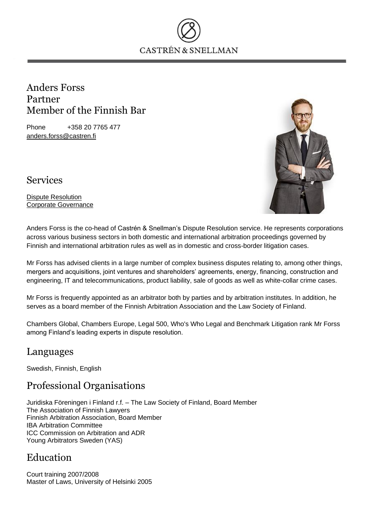

#### Anders Forss Partner Member of the Finnish Bar

Phone +358 20 7765 477 anders.forss@castren.fi



Services

Dispute Resolution Corporate Governance

Anders Forss is the co-head of Castrén & Snellman's Dispute Resolution service. He represents corporations across various business sectors in both domestic and international arbitration proceedings governed by Finnish and international arbitration rules as well as in domestic and cross-border litigation cases.

Mr Forss has advised clients in a large number of complex business disputes relating to, among other things, mergers and acquisitions, joint ventures and shareholders' agreements, energy, financing, construction and engineering, IT and telecommunications, product liability, sale of goods as well as white-collar crime cases.

Mr Forss is frequently appointed as an arbitrator both by parties and by arbitration institutes. In addition, he serves as a board member of the Finnish Arbitration Association and the Law Society of Finland.

Chambers Global, Chambers Europe, Legal 500, Who's Who Legal and Benchmark Litigation rank Mr Forss among Finland's leading experts in dispute resolution.

### Languages

Swedish, Finnish, English

## Professional Organisations

Juridiska Föreningen i Finland r.f. – The Law Society of Finland, Board Member The Association of Finnish Lawyers Finnish Arbitration Association, Board Member IBA Arbitration Committee ICC Commission on Arbitration and ADR Young Arbitrators Sweden (YAS)

# Education

Court training 2007/2008 Master of Laws, University of Helsinki 2005